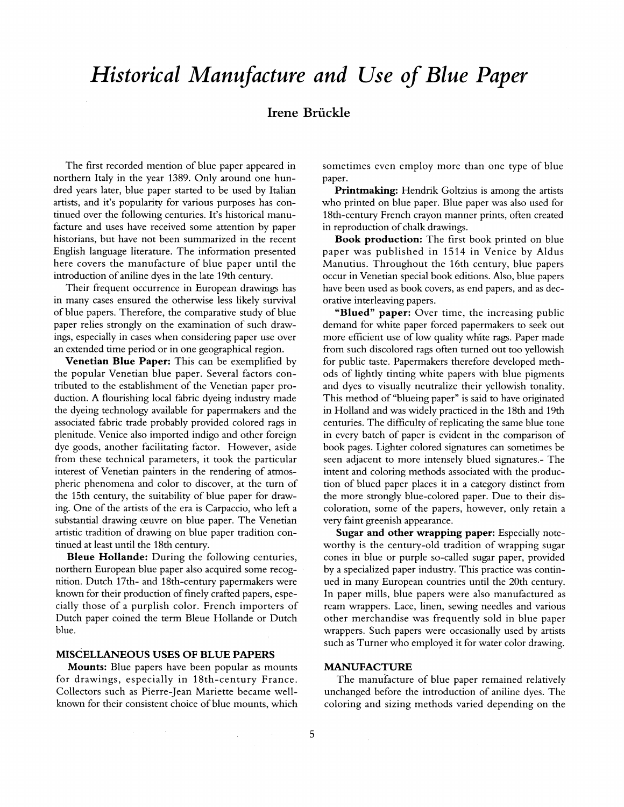# *Historical Manufacture and Use of Blue Paper*

# Irene Briickle

The first recorded mention of blue paper appeared in northern Italy in the year 1389. Only around one hundred years later, blue paper started to be used by Italian artists, and it's popularity for various purposes has continued over the following centuries. It's historical manufacture and uses have received some attention by paper historians, but have not been summarized in the recent English language literature. The information presented here covers the manufacture of blue paper until the introduction of aniline dyes in the late 19th century.

Their frequent occurrence in European drawings has in many cases ensured the otherwise less likely survival of blue papers. Therefore, the comparative study of blue paper relies strongly on the examination of such drawings, especially in cases when considering paper use over an extended time period or in one geographical region.

**Venetian Blue Paper:** This can be exemplified by the popular Venetian blue paper. Several factors contributed to the establishment of the Venetian paper production. A flourishing local fabric dyeing industry made the dyeing technology available for papermakers and the associated fabric trade probably provided colored rags in plenitude. Venice also imported indigo and other foreign dye goods, another facilitating factor. However, aside from these technical parameters, it took the particular interest of Venetian painters in the rendering of atmospheric phenomena and color to discover, at the turn of the 15th century, the suitability of blue paper for drawing. One of the artists of the era is Carpaccio, who left a substantial drawing œuvre on blue paper. The Venetian artistic tradition of drawing on blue paper tradition continued at least until the 18th century.

**Bleue Hollande:** During the following centuries, northern European blue paper also acquired some recognition. Dutch 17th- and 18th-century papermakers were known for their production of finely crafted papers, especially those of a purplish color. French importers of Dutch paper coined the term Bleue Hollande or Dutch blue.

# **MISCELLANEOUS USES OF BLUE PAPERS**

**Mounts:** Blue papers have been popular as mounts for drawings, especially in 18th-century France. Collectors such as Pierre-Jean Mariette became wellknown for their consistent choice of blue mounts, which

sometimes even employ more than one type of blue paper.

**Printmaking:** Hendrik Goltzius is among the artists who printed on blue paper. Blue paper was also used for 18th-century French crayon manner prints, often created in reproduction of chalk drawings.

**Book production:** The first book printed on blue paper was published in 1514 in Venice by Aldus Manutius. Throughout the 16th century, blue papers occur in Venetian special book editions. Also, blue papers have been used as book covers, as end papers, and as decorative interleaving papers.

"Blued" paper: Over time, the increasing public demand for white paper forced papermakers to seek out more efficient use of low quality white rags. Paper made from such discolored rags often turned out too yellowish for public taste. Papermakers therefore developed methods of lightly tinting white papers with blue pigments and dyes to visually neutralize their yellowish tonality. This method of "blueing paper" is said to have originated in Holland and was widely practiced in the 18th and 19th centuries. The difficulty of replicating the same blue tone in every batch of paper is evident in the comparison of book pages. Lighter colored signatures can sometimes be seen adjacent to more intensely blued signatures.- The intent and coloring methods associated with the production of blued paper places it in a category distinct from the more strongly blue-colored paper. Due to their discoloration, some of the papers, however, only retain a very faint greenish appearance.

**Sugar and other wrapping paper:** Especially noteworthy is the century-old tradition of wrapping sugar cones in blue or purple so-called sugar paper, provided by a specialized paper industry. This practice was continued in many European countries until the 20th century. In paper mills, blue papers were also manufactured as ream wrappers. Lace, linen, sewing needles and various other merchandise was frequently sold in blue paper wrappers. Such papers were occasionally used by artists such as Turner who employed it for water color drawing.

# **MANUFACTUR E**

The manufacture of blue paper remained relatively unchanged before the introduction of aniline dyes. The coloring and sizing methods varied depending on the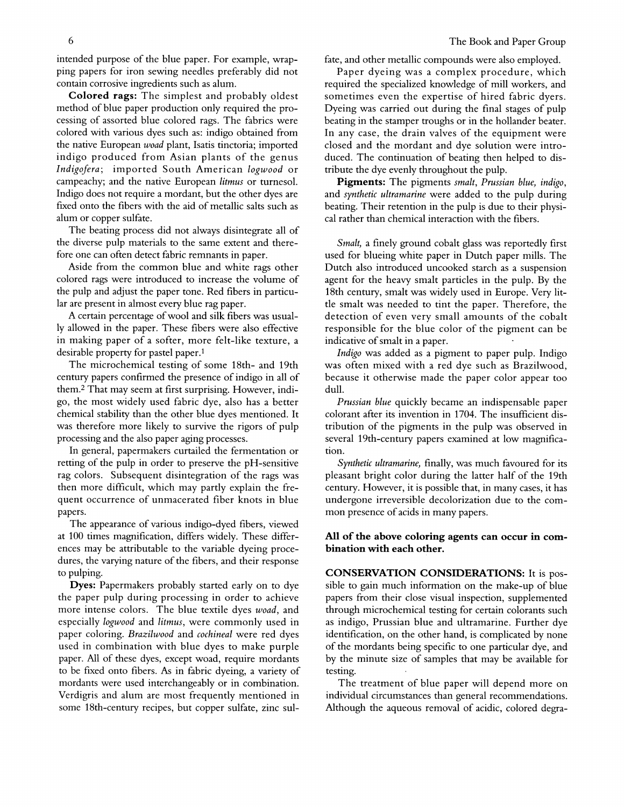intended purpose of the blue paper. For example, wrapping papers for iron sewing needles preferably did not contain corrosive ingredients such as alum.

Colored rags: The simplest and probably oldest method of blue paper production only required the processing of assorted blue colored rags. The fabrics were colored with various dyes such as: indigo obtained from the native European *woad* plant, Isatis tinctoria; imported indigo produced from Asian plants of the genus *Indigofera*; imported South American logwood or campeachy; and the native European *litmus* or turnesol. Indigo does not require a mordant, but the other dyes are fixed onto the fibers with the aid of metallic salts such as alum or copper sulfate.

The beating process did not always disintegrate all of the diverse pulp materials to the same extent and therefore one can often detect fabric remnants in paper.

Aside from the common blue and white rags other colored rags were introduced to increase the volume of the pulp and adjust the paper tone. Red fibers in particular are present in almost every blue rag paper.

A certain percentage of wool and silk fibers was usually allowed in the paper. These fibers were also effective in making paper of a softer, more felt-like texture, a desirable property for pastel paper.<sup>1</sup>

The microchemical testing of some 18th- and 19th century papers confirmed the presence of indigo in all of them. <sup>2</sup> That may seem at first surprising. However, indigo, the most widely used fabric dye, also has a better chemical stability than the other blue dyes mentioned. It was therefore more likely to survive the rigors of pulp processing and the also paper aging processes.

In general, papermakers curtailed the fermentation or retting of the pulp in order to preserve the pH-sensitive rag colors. Subsequent disintegration of the rags was then more difficult, which may partly explain the frequent occurrence of unmacerated fiber knots in blue papers.

The appearance of various indigo-dyed fibers, viewed at 100 times magnification, differs widely. These differences may be attributable to the variable dyeing procedures, the varying nature of the fibers, and their response to pulping.

**Dyes:** Papermakers probably started early on to dye the paper pulp during processing in order to achieve more intense colors. The blue textile dyes *woad,* and especially *logwood* and *litmus,* were commonly used in paper coloring. *Brazilwood* and *cochineal* were red dyes used in combination with blue dyes to make purple paper. All of these dyes, except woad, require mordants to be fixed onto fibers. As in fabric dyeing, a variety of mordants were used interchangeably or in combination. Verdigris and alum are most frequently mentioned in some 18th-century recipes, but copper sulfate, zinc sulfate, and other metallic compounds were also employed.

Paper dyeing was a complex procedure, which required the specialized knowledge of mill workers, and sometimes even the expertise of hired fabric dyers. Dyeing was carried out during the final stages of pulp beating in the stamper troughs or in the hollander beater. In any case, the drain valves of the equipment were closed and the mordant and dye solution were introduced. The continuation of beating then helped to distribute the dye evenly throughout the pulp.

**Pigments:** The pigments *smalt, Prussian blue, indigo,*  and *synthetic ultramarine* were added to the pulp during beating. Their retention in the pulp is due to their physical rather than chemical interaction with the fibers.

*Smalt,* a finely ground cobalt glass was reportedly first used for blueing white paper in Dutch paper mills. The Dutch also introduced uncooked starch as a suspension agent for the heavy smalt particles in the pulp. By the 18th century, smalt was widely used in Europe. Very little smalt was needed to tint the paper. Therefore, the detection of even very small amounts of the cobalt responsible for the blue color of the pigment can be indicative of smalt in a paper.

*Indigo* was added as a pigment to paper pulp. Indigo was often mixed with a red dye such as Brazilwood, because it otherwise made the paper color appear too dull.

*Prussian blue* quickly became an indispensable paper colorant after its invention in 1704. The insufficient distribution of the pigments in the pulp was observed in several 19th-century papers examined at low magnification.

*Synthetic ultramarine,* finally, was much favoured for its pleasant bright color during the latter half of the 19th century. However, it is possible that, in many cases, it has undergone irreversible decolorization due to the common presence of acids in many papers.

# All of the above coloring agents can occur in com**bination with each other.**

**CONSERVATION CONSIDERATIONS:** It is possible to gain much information on the make-up of blue papers from their close visual inspection, supplemented through microchemical testing for certain colorants such as indigo, Prussian blue and ultramarine. Further dye identification, on the other hand, is complicated by none of the mordants being specific to one particular dye, and by the minute size of samples that may be available for testing.

The treatment of blue paper will depend more on individual circumstances than general recommendations. Although the aqueous removal of acidic, colored degra-